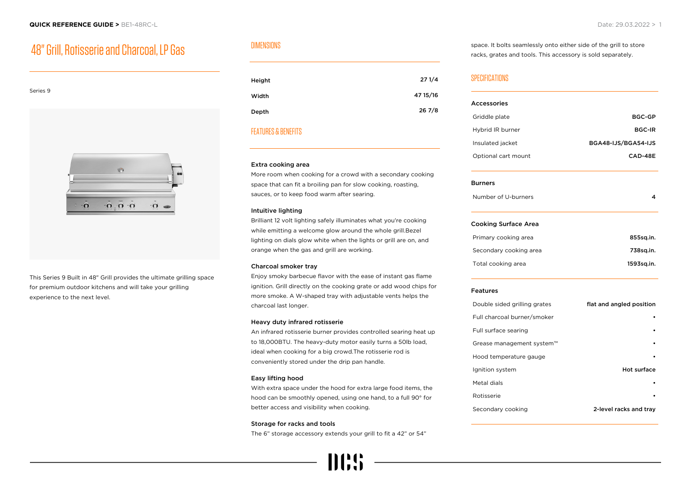# 48" Grill, Rotisserie and Charcoal, LP Gas



This Series 9 Built in 48" Grill provides the ultimate grilling space for premium outdoor kitchens and will take your grilling experience to the next level.

# DIMENSIONS

| Height | 271/4    |
|--------|----------|
| Width  | 47 15/16 |
| Depth  | 267/8    |

# FEATURES & BENEFITS

#### Extra cooking area

More room when cooking for a crowd with a secondary cooking space that can fit a broiling pan for slow cooking, roasting, sauces, or to keep food warm after searing.

#### Intuitive lighting

Brilliant 12 volt lighting safely illuminates what you're cooking while emitting a welcome glow around the whole grill.Bezel lighting on dials glow white when the lights or grill are on, and orange when the gas and grill are working.

#### Charcoal smoker tray

Enjoy smoky barbecue flavor with the ease of instant gas flame ignition. Grill directly on the cooking grate or add wood chips for more smoke. A W-shaped tray with adjustable vents helps the charcoal last longer.

#### Heavy duty infrared rotisserie

An infrared rotisserie burner provides controlled searing heat up to 18,000BTU. The heavy-duty motor easily turns a 50lb load, ideal when cooking for a big crowd.The rotisserie rod is conveniently stored under the drip pan handle.

#### Easy lifting hood

With extra space under the hood for extra large food items, the hood can be smoothly opened, using one hand, to a full 90° for better access and visibility when cooking.

#### Storage for racks and tools

The 6" storage accessory extends your grill to fit a 42" or 54"

space. It bolts seamlessly onto either side of the grill to store racks, grates and tools. This accessory is sold separately.

## SPECIFICATIONS

| <b>Accessories</b>           |                          |
|------------------------------|--------------------------|
| Griddle plate                | <b>BGC-GP</b>            |
| Hybrid IR burner             | <b>BGC-IR</b>            |
| Insulated jacket             | BGA48-IJS/BGA54-IJS      |
| Optional cart mount          | CAD-48E                  |
| <b>Burners</b>               |                          |
| Number of U-burners          | 4                        |
| <b>Cooking Surface Area</b>  |                          |
| Primary cooking area         | 855sq.in.                |
| Secondary cooking area       | 738sq.in.                |
| Total cooking area           | 1593sq.in.               |
| <b>Features</b>              |                          |
| Double sided grilling grates | flat and angled position |
| Full charcoal burner/smoker  |                          |
| Full surface searing         |                          |
| Grease management system™    |                          |
| Hood temperature gauge       |                          |
| Ignition system              | Hot surface              |
| Metal dials                  |                          |
| Rotisserie                   |                          |
| Secondary cooking            | 2-level racks and tray   |